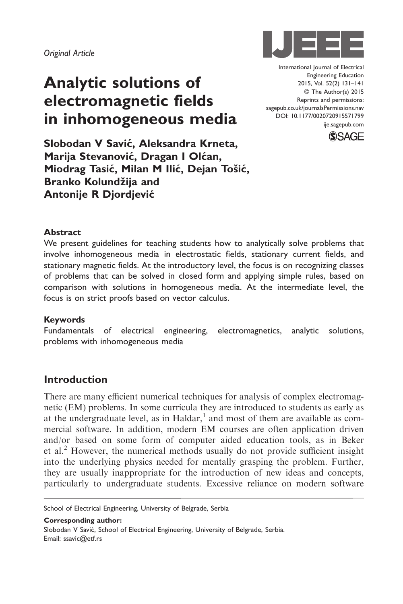

# Analytic solutions of electromagnetic fields in inhomogeneous media

International Journal of Electrical Engineering Education 2015, Vol. 52(2) 131–141 © The Author(s) 2015 Reprints and permissions: sagepub.co.uk/journalsPermissions.nav DOI: 10.1177/0020720915571799 ije.sagepub.com



Slobodan V Savić, Aleksandra Krneta, Marija Stevanović, Dragan I Olćan, Miodrag Tasić, Milan M Ilić, Dejan Tošić, Branko Kolundžija and Antonije R Djordjevic´

## Abstract

We present guidelines for teaching students how to analytically solve problems that involve inhomogeneous media in electrostatic fields, stationary current fields, and stationary magnetic fields. At the introductory level, the focus is on recognizing classes of problems that can be solved in closed form and applying simple rules, based on comparison with solutions in homogeneous media. At the intermediate level, the focus is on strict proofs based on vector calculus.

#### Keywords

Fundamentals of electrical engineering, electromagnetics, analytic solutions, problems with inhomogeneous media

# Introduction

There are many efficient numerical techniques for analysis of complex electromagnetic (EM) problems. In some curricula they are introduced to students as early as at the undergraduate level, as in Haldar, $<sup>1</sup>$  and most of them are available as com-</sup> mercial software. In addition, modern EM courses are often application driven and/or based on some form of computer aided education tools, as in Beker et al.<sup>2</sup> However, the numerical methods usually do not provide sufficient insight into the underlying physics needed for mentally grasping the problem. Further, they are usually inappropriate for the introduction of new ideas and concepts, particularly to undergraduate students. Excessive reliance on modern software

School of Electrical Engineering, University of Belgrade, Serbia

Corresponding author:

Slobodan V Savić, School of Electrical Engineering, University of Belgrade, Serbia. Email: ssavic@etf.rs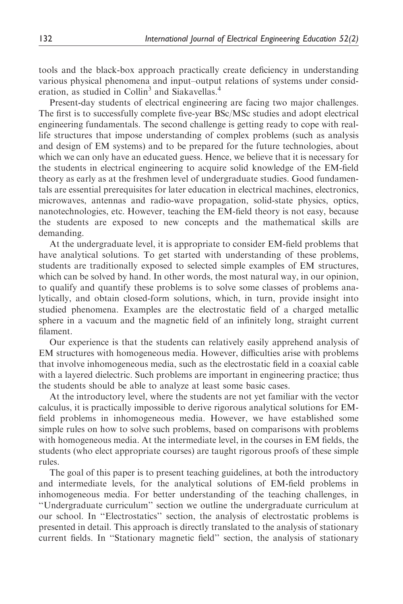tools and the black-box approach practically create deficiency in understanding various physical phenomena and input–output relations of systems under consideration, as studied in Collin<sup>3</sup> and Siakavellas.<sup>4</sup>

Present-day students of electrical engineering are facing two major challenges. The first is to successfully complete five-year BSc/MSc studies and adopt electrical engineering fundamentals. The second challenge is getting ready to cope with reallife structures that impose understanding of complex problems (such as analysis and design of EM systems) and to be prepared for the future technologies, about which we can only have an educated guess. Hence, we believe that it is necessary for the students in electrical engineering to acquire solid knowledge of the EM-field theory as early as at the freshmen level of undergraduate studies. Good fundamentals are essential prerequisites for later education in electrical machines, electronics, microwaves, antennas and radio-wave propagation, solid-state physics, optics, nanotechnologies, etc. However, teaching the EM-field theory is not easy, because the students are exposed to new concepts and the mathematical skills are demanding.

At the undergraduate level, it is appropriate to consider EM-field problems that have analytical solutions. To get started with understanding of these problems, students are traditionally exposed to selected simple examples of EM structures, which can be solved by hand. In other words, the most natural way, in our opinion, to qualify and quantify these problems is to solve some classes of problems analytically, and obtain closed-form solutions, which, in turn, provide insight into studied phenomena. Examples are the electrostatic field of a charged metallic sphere in a vacuum and the magnetic field of an infinitely long, straight current filament.

Our experience is that the students can relatively easily apprehend analysis of EM structures with homogeneous media. However, difficulties arise with problems that involve inhomogeneous media, such as the electrostatic field in a coaxial cable with a layered dielectric. Such problems are important in engineering practice; thus the students should be able to analyze at least some basic cases.

At the introductory level, where the students are not yet familiar with the vector calculus, it is practically impossible to derive rigorous analytical solutions for EMfield problems in inhomogeneous media. However, we have established some simple rules on how to solve such problems, based on comparisons with problems with homogeneous media. At the intermediate level, in the courses in EM fields, the students (who elect appropriate courses) are taught rigorous proofs of these simple rules.

The goal of this paper is to present teaching guidelines, at both the introductory and intermediate levels, for the analytical solutions of EM-field problems in inhomogeneous media. For better understanding of the teaching challenges, in ''Undergraduate curriculum'' section we outline the undergraduate curriculum at our school. In ''Electrostatics'' section, the analysis of electrostatic problems is presented in detail. This approach is directly translated to the analysis of stationary current fields. In ''Stationary magnetic field'' section, the analysis of stationary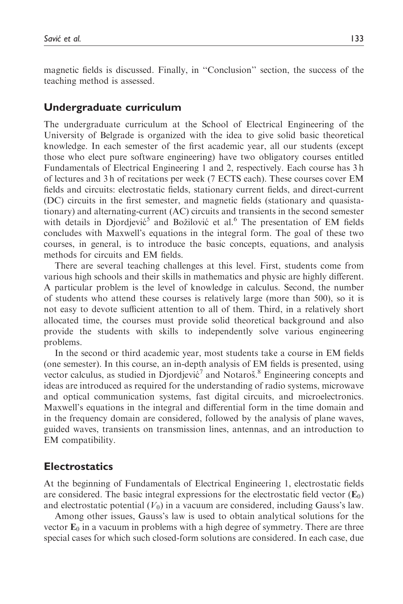magnetic fields is discussed. Finally, in ''Conclusion'' section, the success of the teaching method is assessed.

## Undergraduate curriculum

The undergraduate curriculum at the School of Electrical Engineering of the University of Belgrade is organized with the idea to give solid basic theoretical knowledge. In each semester of the first academic year, all our students (except those who elect pure software engineering) have two obligatory courses entitled Fundamentals of Electrical Engineering 1 and 2, respectively. Each course has 3 h of lectures and 3 h of recitations per week (7 ECTS each). These courses cover EM fields and circuits: electrostatic fields, stationary current fields, and direct-current (DC) circuits in the first semester, and magnetic fields (stationary and quasistationary) and alternating-current (AC) circuits and transients in the second semester with details in Djordjević<sup>5</sup> and Božilović et al.<sup>6</sup> The presentation of EM fields concludes with Maxwell's equations in the integral form. The goal of these two courses, in general, is to introduce the basic concepts, equations, and analysis methods for circuits and EM fields.

There are several teaching challenges at this level. First, students come from various high schools and their skills in mathematics and physic are highly different. A particular problem is the level of knowledge in calculus. Second, the number of students who attend these courses is relatively large (more than 500), so it is not easy to devote sufficient attention to all of them. Third, in a relatively short allocated time, the courses must provide solid theoretical background and also provide the students with skills to independently solve various engineering problems.

In the second or third academic year, most students take a course in EM fields (one semester). In this course, an in-depth analysis of EM fields is presented, using vector calculus, as studied in Djordjević<sup>7</sup> and Notaroš.<sup>8</sup> Engineering concepts and ideas are introduced as required for the understanding of radio systems, microwave and optical communication systems, fast digital circuits, and microelectronics. Maxwell's equations in the integral and differential form in the time domain and in the frequency domain are considered, followed by the analysis of plane waves, guided waves, transients on transmission lines, antennas, and an introduction to EM compatibility.

# **Electrostatics**

At the beginning of Fundamentals of Electrical Engineering 1, electrostatic fields are considered. The basic integral expressions for the electrostatic field vector  $(E_0)$ and electrostatic potential  $(V_0)$  in a vacuum are considered, including Gauss's law.

Among other issues, Gauss's law is used to obtain analytical solutions for the vector  $\mathbf{E}_0$  in a vacuum in problems with a high degree of symmetry. There are three special cases for which such closed-form solutions are considered. In each case, due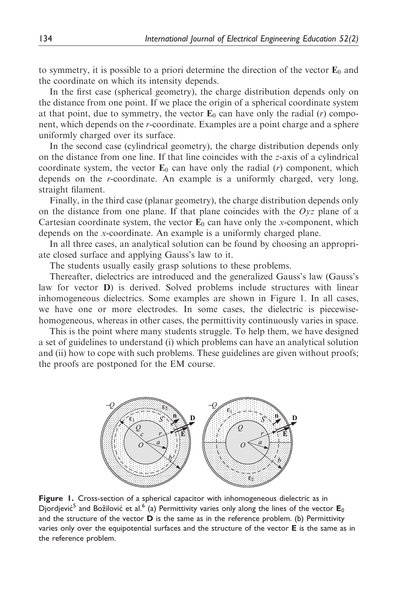to symmetry, it is possible to a priori determine the direction of the vector  $\mathbf{E}_0$  and the coordinate on which its intensity depends.

In the first case (spherical geometry), the charge distribution depends only on the distance from one point. If we place the origin of a spherical coordinate system at that point, due to symmetry, the vector  $\mathbf{E}_0$  can have only the radial (r) component, which depends on the r-coordinate. Examples are a point charge and a sphere uniformly charged over its surface.

In the second case (cylindrical geometry), the charge distribution depends only on the distance from one line. If that line coincides with the  $z$ -axis of a cylindrical coordinate system, the vector  $E_0$  can have only the radial (r) component, which depends on the r-coordinate. An example is a uniformly charged, very long, straight filament.

Finally, in the third case (planar geometry), the charge distribution depends only on the distance from one plane. If that plane coincides with the  $Oyz$  plane of a Cartesian coordinate system, the vector  $\mathbf{E}_0$  can have only the x-component, which depends on the x-coordinate. An example is a uniformly charged plane.

In all three cases, an analytical solution can be found by choosing an appropriate closed surface and applying Gauss's law to it.

The students usually easily grasp solutions to these problems.

Thereafter, dielectrics are introduced and the generalized Gauss's law (Gauss's law for vector D) is derived. Solved problems include structures with linear inhomogeneous dielectrics. Some examples are shown in Figure 1. In all cases, we have one or more electrodes. In some cases, the dielectric is piecewisehomogeneous, whereas in other cases, the permittivity continuously varies in space.

This is the point where many students struggle. To help them, we have designed a set of guidelines to understand (i) which problems can have an analytical solution and (ii) how to cope with such problems. These guidelines are given without proofs; the proofs are postponed for the EM course.



Figure 1. Cross-section of a spherical capacitor with inhomogeneous dielectric as in Djordjevic<sup>5</sup> and Božilovic et al.<sup>6</sup> (a) Permittivity varies only along the lines of the vector  $E_0$ and the structure of the vector  **is the same as in the reference problem. (b) Permittivity** varies only over the equipotential surfaces and the structure of the vector  $E$  is the same as in the reference problem.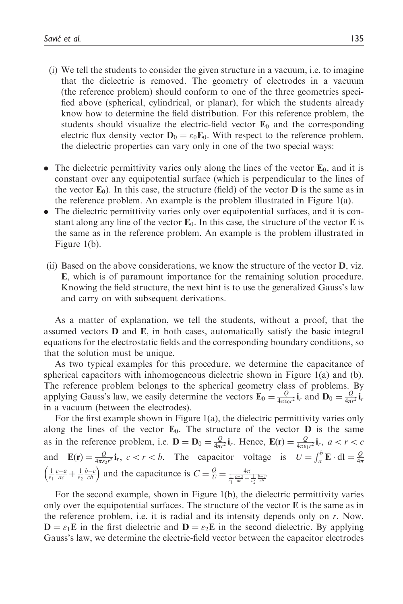- (i) We tell the students to consider the given structure in a vacuum, i.e. to imagine that the dielectric is removed. The geometry of electrodes in a vacuum (the reference problem) should conform to one of the three geometries specified above (spherical, cylindrical, or planar), for which the students already know how to determine the field distribution. For this reference problem, the students should visualize the electric-field vector  $E_0$  and the corresponding electric flux density vector  $D_0 = \varepsilon_0 E_0$ . With respect to the reference problem, the dielectric properties can vary only in one of the two special ways:
- The dielectric permittivity varies only along the lines of the vector  $\mathbf{E}_0$ , and it is constant over any equipotential surface (which is perpendicular to the lines of the vector  $\mathbf{E}_0$ ). In this case, the structure (field) of the vector **D** is the same as in the reference problem. An example is the problem illustrated in Figure 1(a).
- . The dielectric permittivity varies only over equipotential surfaces, and it is constant along any line of the vector  $\mathbf{E}_0$ . In this case, the structure of the vector **E** is the same as in the reference problem. An example is the problem illustrated in Figure 1(b).
- (ii) Based on the above considerations, we know the structure of the vector D, viz. E, which is of paramount importance for the remaining solution procedure. Knowing the field structure, the next hint is to use the generalized Gauss's law and carry on with subsequent derivations.

As a matter of explanation, we tell the students, without a proof, that the assumed vectors  **and**  $**E**$ **, in both cases, automatically satisfy the basic integral** equations for the electrostatic fields and the corresponding boundary conditions, so that the solution must be unique.

As two typical examples for this procedure, we determine the capacitance of spherical capacitors with inhomogeneous dielectric shown in Figure 1(a) and (b). The reference problem belongs to the spherical geometry class of problems. By applying Gauss's law, we easily determine the vectors  $\mathbf{E}_0 = \frac{Q}{4\pi\epsilon_0 r^2} \mathbf{i}_r$  and  $\mathbf{D}_0 = \frac{Q}{4\pi r^2} \mathbf{i}_r$ in a vacuum (between the electrodes).

For the first example shown in Figure  $1(a)$ , the dielectric permittivity varies only along the lines of the vector  $\mathbf{E}_0$ . The structure of the vector **D** is the same as in the reference problem, i.e.  $\mathbf{D} = \mathbf{D}_0 = \frac{Q}{4\pi r^2} \mathbf{i}_r$ . Hence,  $\mathbf{E}(\mathbf{r}) = \frac{Q}{4\pi \epsilon_1 r^2} \mathbf{i}_r$ ,  $a < r < c$ and  $\mathbf{E}(\mathbf{r}) = \frac{Q}{4\pi\epsilon_2 r^2} \mathbf{i}_r$ ,  $c < r < b$ . The capacitor voltage is  $U = \int_a^b \mathbf{E} \cdot d\mathbf{l} = \frac{Q}{4\pi}$  $\left(\frac{1}{\epsilon_1}\frac{c-a}{ac} + \frac{1}{\epsilon_2}\frac{b-c}{cb}\right)$  and the capacitance is  $C = \frac{Q}{U} = \frac{4\pi}{\frac{1}{\epsilon_1}\frac{c-a}{ac} + \frac{1}{\epsilon_2}\frac{b-c}{cb}}$ 

For the second example, shown in Figure 1(b), the dielectric permittivity varies only over the equipotential surfaces. The structure of the vector  $\bf{E}$  is the same as in the reference problem, i.e. it is radial and its intensity depends only on r. Now,  $\mathbf{D} = \varepsilon_1 \mathbf{E}$  in the first dielectric and  $\mathbf{D} = \varepsilon_2 \mathbf{E}$  in the second dielectric. By applying Gauss's law, we determine the electric-field vector between the capacitor electrodes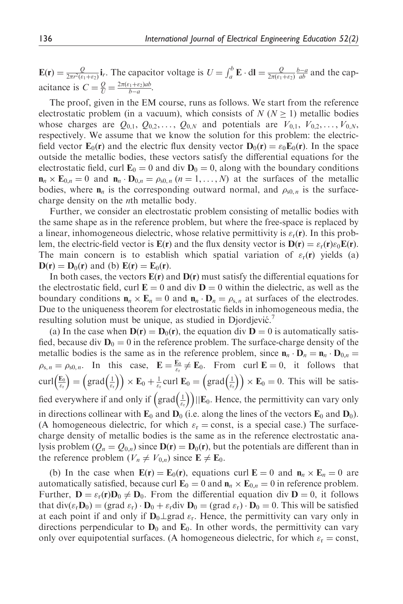$\mathbf{E}(\mathbf{r}) = \frac{Q}{2\pi r^2(\varepsilon_1 + \varepsilon_2)} \mathbf{i}_r$ . The capacitor voltage is  $U = \int_a^b \mathbf{E} \cdot d\mathbf{l} = \frac{Q}{2\pi(\varepsilon_1 + \varepsilon_2)} \frac{b-a}{ab}$  and the capacitance is  $C = \frac{Q}{U} = \frac{2\pi(\varepsilon_1 + \varepsilon_2)ab}{b-a}$ .

The proof, given in the EM course, runs as follows. We start from the reference electrostatic problem (in a vacuum), which consists of  $N (N \ge 1)$  metallic bodies whose charges are  $Q_{0,1}$ ,  $Q_{0,2}$ ,...,  $Q_{0,N}$  and potentials are  $V_{0,1}$ ,  $V_{0,2}$ ,...,  $V_{0,N}$ , respectively. We assume that we know the solution for this problem: the electricfield vector  $\mathbf{E}_0(\mathbf{r})$  and the electric flux density vector  $\mathbf{D}_0(\mathbf{r}) = \varepsilon_0 \mathbf{E}_0(\mathbf{r})$ . In the space outside the metallic bodies, these vectors satisfy the differential equations for the electrostatic field, curl  $\mathbf{E}_0 = 0$  and div  $\mathbf{D}_0 = 0$ , along with the boundary conditions  $\mathbf{n}_n \times \mathbf{E}_{0,n} = 0$  and  $\mathbf{n}_n \cdot \mathbf{D}_{0,n} = \rho_{s0,n}$   $(n = 1, \ldots, N)$  at the surfaces of the metallic bodies, where  $n_n$  is the corresponding outward normal, and  $\rho_{s0,n}$  is the surfacecharge density on the nth metallic body.

Further, we consider an electrostatic problem consisting of metallic bodies with the same shape as in the reference problem, but where the free-space is replaced by a linear, inhomogeneous dielectric, whose relative permittivity is  $\varepsilon_r(\mathbf{r})$ . In this problem, the electric-field vector is  $\mathbf{E}(\mathbf{r})$  and the flux density vector is  $\mathbf{D}(\mathbf{r}) = \varepsilon_{\mathbf{r}}(\mathbf{r})\varepsilon_0\mathbf{E}(\mathbf{r})$ . The main concern is to establish which spatial variation of  $\varepsilon_r(\mathbf{r})$  yields (a)  $D(r) = D_0(r)$  and (b)  $E(r) = E_0(r)$ .

In both cases, the vectors  $E(r)$  and  $D(r)$  must satisfy the differential equations for the electrostatic field, curl  $\mathbf{E} = 0$  and div  $\mathbf{D} = 0$  within the dielectric, as well as the boundary conditions  $\mathbf{n}_n \times \mathbf{E}_n = 0$  and  $\mathbf{n}_n \cdot \mathbf{D}_n = \rho_{s,n}$  at surfaces of the electrodes. Due to the uniqueness theorem for electrostatic fields in inhomogeneous media, the resulting solution must be unique, as studied in Djordjević.<sup>7</sup>

(a) In the case when  $\mathbf{D}(\mathbf{r}) = \mathbf{D}_0(\mathbf{r})$ , the equation div  $\mathbf{D} = 0$  is automatically satisfied, because div  $\mathbf{D}_0 = 0$  in the reference problem. The surface-charge density of the metallic bodies is the same as in the reference problem, since  $\mathbf{n}_n \cdot \mathbf{D}_n = \mathbf{n}_n \cdot \mathbf{D}_{0,n}$  $\rho_{s,n} = \rho_{s0,n}$ . In this case,  $\mathbf{E} = \frac{\mathbf{E}_0}{\varepsilon_r} \neq \mathbf{E}_0$ . From curl  $\mathbf{E} = 0$ , it follows that  $\text{curl} \left(\frac{\mathbf{E}_0}{\varepsilon_{\text{r}}} \right)$  $\left(\frac{\mathbf{E}_0}{\varepsilon_{\rm r}}\right) = \left(\text{grad}\left(\frac{1}{\varepsilon_{\rm r}}\right)\right)$  $\left(\text{grad}\left(\frac{1}{\varepsilon_r}\right)\right) \times \mathbf{E}_0 + \frac{1}{\varepsilon_r} \text{curl } \mathbf{E}_0 = \left(\text{grad}\left(\frac{1}{\varepsilon_r}\right)\right)$  $\left(\text{grad}\left(\frac{1}{\varepsilon_{\varepsilon}}\right)\right) \times \mathbf{E}_0 = 0$ . This will be satisfied everywhere if and only if  $\left(\text{grad}\left(\frac{1}{\varepsilon_r}\right)\right)$  $\left(\text{grad}\left(\frac{1}{\epsilon_0}\right)\right) ||\mathbf{E}_0$ . Hence, the permittivity can vary only in directions collinear with  $\mathbf{E}_0$  and  $\mathbf{D}_0$  (i.e. along the lines of the vectors  $\mathbf{E}_0$  and  $\mathbf{D}_0$ ). (A homogeneous dielectric, for which  $\varepsilon_r$  = const, is a special case.) The surfacecharge density of metallic bodies is the same as in the reference electrostatic analysis problem  $(Q_n = Q_{0,n})$  since  $\mathbf{D}(\mathbf{r}) = \mathbf{D}_0(\mathbf{r})$ , but the potentials are different than in the reference problem ( $V_n \neq V_{0,n}$ ) since  $\mathbf{E} \neq \mathbf{E}_0$ .

(b) In the case when  $\mathbf{E}(\mathbf{r}) = \mathbf{E}_0(\mathbf{r})$ , equations curl  $\mathbf{E} = 0$  and  $\mathbf{n}_n \times \mathbf{E}_n = 0$  are automatically satisfied, because curl  $\mathbf{E}_0 = 0$  and  $\mathbf{n}_n \times \mathbf{E}_{0,n} = 0$  in reference problem. Further,  $\mathbf{D} = \varepsilon_{\rm r}(\mathbf{r})\mathbf{D}_0 \neq \mathbf{D}_0$ . From the differential equation div  $\mathbf{D} = 0$ , it follows that div $(\epsilon_r \mathbf{D}_0) = (\text{grad } \epsilon_r) \cdot \mathbf{D}_0 + \epsilon_r \text{div } \mathbf{D}_0 = (\text{grad } \epsilon_r) \cdot \mathbf{D}_0 = 0$ . This will be satisfied at each point if and only if  $D_0 \perp \text{grad } \varepsilon_r$ . Hence, the permittivity can vary only in directions perpendicular to  $D_0$  and  $E_0$ . In other words, the permittivity can vary only over equipotential surfaces. (A homogeneous dielectric, for which  $\varepsilon_r = \text{const}$ ,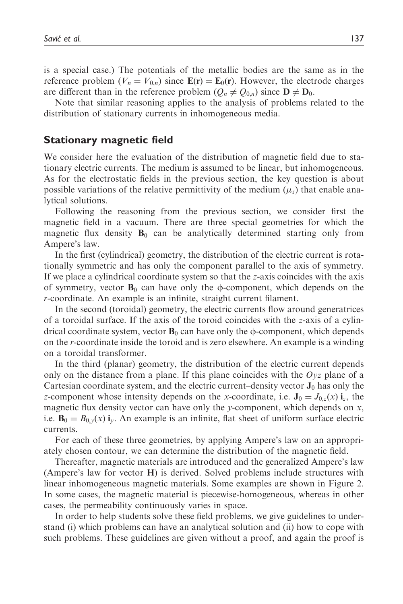is a special case.) The potentials of the metallic bodies are the same as in the reference problem  $(V_n = V_{0,n})$  since  $\mathbf{E}(\mathbf{r}) = \mathbf{E}_0(\mathbf{r})$ . However, the electrode charges are different than in the reference problem  $(Q_n \neq Q_{0,n})$  since  $\mathbf{D} \neq \mathbf{D}_0$ .

Note that similar reasoning applies to the analysis of problems related to the distribution of stationary currents in inhomogeneous media.

#### Stationary magnetic field

We consider here the evaluation of the distribution of magnetic field due to stationary electric currents. The medium is assumed to be linear, but inhomogeneous. As for the electrostatic fields in the previous section, the key question is about possible variations of the relative permittivity of the medium  $(\mu_r)$  that enable analytical solutions.

Following the reasoning from the previous section, we consider first the magnetic field in a vacuum. There are three special geometries for which the magnetic flux density  $\mathbf{B}_0$  can be analytically determined starting only from Ampere's law.

In the first (cylindrical) geometry, the distribution of the electric current is rotationally symmetric and has only the component parallel to the axis of symmetry. If we place a cylindrical coordinate system so that the z-axis coincides with the axis of symmetry, vector  $\mathbf{B}_0$  can have only the  $\phi$ -component, which depends on the r-coordinate. An example is an infinite, straight current filament.

In the second (toroidal) geometry, the electric currents flow around generatrices of a toroidal surface. If the axis of the toroid coincides with the  $z$ -axis of a cylindrical coordinate system, vector  $\mathbf{B}_0$  can have only the  $\phi$ -component, which depends on the r-coordinate inside the toroid and is zero elsewhere. An example is a winding on a toroidal transformer.

In the third (planar) geometry, the distribution of the electric current depends only on the distance from a plane. If this plane coincides with the  $Oyz$  plane of a Cartesian coordinate system, and the electric current–density vector  $J_0$  has only the z-component whose intensity depends on the x-coordinate, i.e.  $J_0 = J_{0,z}(x) i_z$ , the magnetic flux density vector can have only the  $y$ -component, which depends on  $x$ , i.e.  $\mathbf{B}_0 = B_{0,y}(x)$  i<sub>y</sub>. An example is an infinite, flat sheet of uniform surface electric currents.

For each of these three geometries, by applying Ampere's law on an appropriately chosen contour, we can determine the distribution of the magnetic field.

Thereafter, magnetic materials are introduced and the generalized Ampere's law (Ampere's law for vector H) is derived. Solved problems include structures with linear inhomogeneous magnetic materials. Some examples are shown in Figure 2. In some cases, the magnetic material is piecewise-homogeneous, whereas in other cases, the permeability continuously varies in space.

In order to help students solve these field problems, we give guidelines to understand (i) which problems can have an analytical solution and (ii) how to cope with such problems. These guidelines are given without a proof, and again the proof is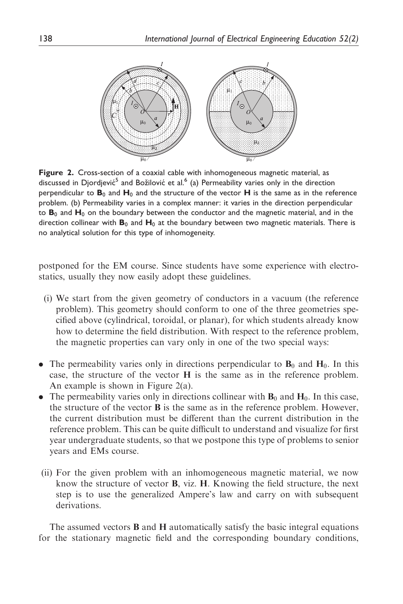

Figure 2. Cross-section of a coaxial cable with inhomogeneous magnetic material, as discussed in Djordjević<sup>5</sup> and Božilović et al.<sup>6</sup> (a) Permeability varies only in the direction perpendicular to  $B_0$  and  $H_0$  and the structure of the vector  $H$  is the same as in the reference problem. (b) Permeability varies in a complex manner: it varies in the direction perpendicular to  $\mathbf{B}_0$  and  $\mathbf{H}_0$  on the boundary between the conductor and the magnetic material, and in the direction collinear with  $B_0$  and  $H_0$  at the boundary between two magnetic materials. There is no analytical solution for this type of inhomogeneity.

postponed for the EM course. Since students have some experience with electrostatics, usually they now easily adopt these guidelines.

- (i) We start from the given geometry of conductors in a vacuum (the reference problem). This geometry should conform to one of the three geometries specified above (cylindrical, toroidal, or planar), for which students already know how to determine the field distribution. With respect to the reference problem, the magnetic properties can vary only in one of the two special ways:
- The permeability varies only in directions perpendicular to  $\mathbf{B}_0$  and  $\mathbf{H}_0$ . In this case, the structure of the vector H is the same as in the reference problem. An example is shown in Figure 2(a).
- The permeability varies only in directions collinear with  $\mathbf{B}_0$  and  $\mathbf{H}_0$ . In this case, the structure of the vector  $\bf{B}$  is the same as in the reference problem. However, the current distribution must be different than the current distribution in the reference problem. This can be quite difficult to understand and visualize for first year undergraduate students, so that we postpone this type of problems to senior years and EMs course.
- (ii) For the given problem with an inhomogeneous magnetic material, we now know the structure of vector B, viz. H. Knowing the field structure, the next step is to use the generalized Ampere's law and carry on with subsequent derivations.

The assumed vectors  $\bf{B}$  and  $\bf{H}$  automatically satisfy the basic integral equations for the stationary magnetic field and the corresponding boundary conditions,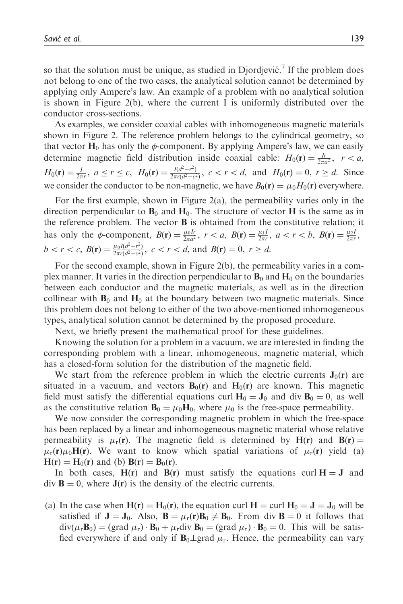so that the solution must be unique, as studied in Djordjević.<sup>7</sup> If the problem does not belong to one of the two cases, the analytical solution cannot be determined by applying only Ampere's law. An example of a problem with no analytical solution is shown in Figure 2(b), where the current I is uniformly distributed over the conductor cross-sections.

As examples, we consider coaxial cables with inhomogeneous magnetic materials shown in Figure 2. The reference problem belongs to the cylindrical geometry, so that vector  $H_0$  has only the  $\phi$ -component. By applying Ampere's law, we can easily determine magnetic field distribution inside coaxial cable:  $H_0(\mathbf{r}) = \frac{Ir}{2\pi a^2}$ ,  $r < a$ ,  $H_0(\mathbf{r}) = \frac{I}{2\pi r}$ ,  $a \le r \le c$ ,  $H_0(\mathbf{r}) = \frac{I(d^2 - r^2)}{2\pi r(d^2 - c^2)}$ ,  $c < r < d$ , and  $H_0(\mathbf{r}) = 0$ ,  $r \ge d$ . Since we consider the conductor to be non-magnetic, we have  $B_0(\mathbf{r}) = \mu_0 H_0(\mathbf{r})$  everywhere.

For the first example, shown in Figure 2(a), the permeability varies only in the direction perpendicular to  $\mathbf{B}_0$  and  $\mathbf{H}_0$ . The structure of vector **H** is the same as in the reference problem. The vector  $\bf{B}$  is obtained from the constitutive relation; it has only the  $\phi$ -component,  $B(\mathbf{r}) = \frac{\mu_0 Ir}{2\pi a^2}$ ,  $r < a$ ,  $B(\mathbf{r}) = \frac{\mu_1 I}{2\pi r}$ ,  $a < r < b$ ,  $B(\mathbf{r}) = \frac{\mu_2 I}{2\pi r}$ ,  $b < r < c$ ,  $B(\mathbf{r}) = \frac{\mu_0 I(d^2 - r^2)}{2\pi r(d^2 - c^2)}$ ,  $c < r < d$ , and  $B(\mathbf{r}) = 0$ ,  $r \ge d$ .

For the second example, shown in Figure 2(b), the permeability varies in a complex manner. It varies in the direction perpendicular to  $\mathbf{B}_0$  and  $\mathbf{H}_0$  on the boundaries between each conductor and the magnetic materials, as well as in the direction collinear with  $\mathbf{B}_0$  and  $\mathbf{H}_0$  at the boundary between two magnetic materials. Since this problem does not belong to either of the two above-mentioned inhomogeneous types, analytical solution cannot be determined by the proposed procedure.

Next, we briefly present the mathematical proof for these guidelines.

Knowing the solution for a problem in a vacuum, we are interested in finding the corresponding problem with a linear, inhomogeneous, magnetic material, which has a closed-form solution for the distribution of the magnetic field.

We start from the reference problem in which the electric currents  $J_0(r)$  are situated in a vacuum, and vectors  $\mathbf{B}_0(\mathbf{r})$  and  $\mathbf{H}_0(\mathbf{r})$  are known. This magnetic field must satisfy the differential equations curl  $H_0 = J_0$  and div  $B_0 = 0$ , as well as the constitutive relation  $\mathbf{B}_0 = \mu_0 \mathbf{H}_0$ , where  $\mu_0$  is the free-space permeability.

We now consider the corresponding magnetic problem in which the free-space has been replaced by a linear and inhomogeneous magnetic material whose relative permeability is  $\mu_r(\mathbf{r})$ . The magnetic field is determined by  $H(\mathbf{r})$  and  $B(\mathbf{r}) =$  $\mu_r(\mathbf{r})\mu_0\mathbf{H}(\mathbf{r})$ . We want to know which spatial variations of  $\mu_r(\mathbf{r})$  yield (a)  $H(r) = H<sub>0</sub>(r)$  and (b)  $B(r) = B<sub>0</sub>(r)$ .

In both cases,  $H(r)$  and  $B(r)$  must satisfy the equations curl  $H = J$  and div  $\mathbf{B} = 0$ , where  $\mathbf{J}(\mathbf{r})$  is the density of the electric currents.

(a) In the case when  $H(r) = H_0(r)$ , the equation curl  $H = \text{curl } H_0 = J = J_0$  will be satisfied if  $J = J_0$ . Also,  $B = \mu_r(r)B_0 \neq B_0$ . From div  $B = 0$  it follows that  $div(\mu_{r}B_{0}) = (grad \mu_{r}) \cdot B_{0} + \mu_{r}div B_{0} = (grad \mu_{r}) \cdot B_{0} = 0$ . This will be satisfied everywhere if and only if  $\mathbf{B}_0 \perp \text{grad } \mu_r$ . Hence, the permeability can vary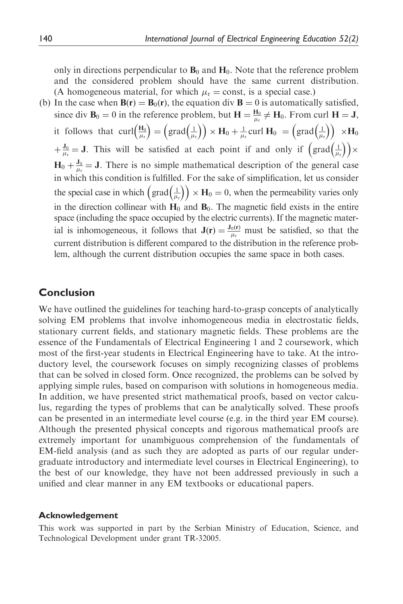only in directions perpendicular to  $\mathbf{B}_0$  and  $\mathbf{H}_0$ . Note that the reference problem and the considered problem should have the same current distribution. (A homogeneous material, for which  $\mu_{\rm r} = \text{const}$ , is a special case.)

(b) In the case when  $\mathbf{B}(\mathbf{r}) = \mathbf{B}_0(\mathbf{r})$ , the equation div  $\mathbf{B} = 0$  is automatically satisfied, since div  $\mathbf{B}_0 = 0$  in the reference problem, but  $\mathbf{H} = \frac{\mathbf{H}_0}{\mu_r} \neq \mathbf{H}_0$ . From curl  $\mathbf{H} = \mathbf{J}$ , it follows that  $\text{curl} \left( \frac{\mathbf{H}_0}{\mu_r} \right)$  $\left(\frac{\mathbf{H}_0}{\mu_r}\right) = \left(\text{grad}\left(\frac{1}{\mu_r}\right)\right)$  $\left(\text{grad}\left(\frac{1}{\mu_{\text{r}}}\right)\right) \times \mathbf{H}_0 + \frac{1}{\mu_{\text{r}}} \text{curl } \mathbf{H}_0 = \left(\text{grad}\left(\frac{1}{\mu_{\text{r}}}\right)\right)$  $\left(\text{grad}\left(\frac{1}{\mu_r}\right)\right) \times H_0$  $+\frac{J_0}{\mu_r} = J$ . This will be satisfied at each point if and only if  $\left(\text{grad}\left(\frac{1}{\mu_r}\right)\right)$  $\left(\text{grad}\left(\frac{1}{u_{\alpha}}\right)\right)$  ×  $H_0 + \frac{J_0}{\mu_r} = J$ . There is no simple mathematical description of the general case in which this condition is fulfilled. For the sake of simplification, let us consider the special case in which  $\left(\text{grad}\left(\frac{1}{\mu_r}\right)\right)$  $\left(\text{grad}\left(\frac{1}{u_c}\right)\right) \times \mathbf{H}_0 = 0$ , when the permeability varies only in the direction collinear with  $H_0$  and  $B_0$ . The magnetic field exists in the entire space (including the space occupied by the electric currents). If the magnetic material is inhomogeneous, it follows that  $J(r) = \frac{J_0(r)}{\mu_r}$  must be satisfied, so that the current distribution is different compared to the distribution in the reference problem, although the current distribution occupies the same space in both cases.

# Conclusion

We have outlined the guidelines for teaching hard-to-grasp concepts of analytically solving EM problems that involve inhomogeneous media in electrostatic fields, stationary current fields, and stationary magnetic fields. These problems are the essence of the Fundamentals of Electrical Engineering 1 and 2 coursework, which most of the first-year students in Electrical Engineering have to take. At the introductory level, the coursework focuses on simply recognizing classes of problems that can be solved in closed form. Once recognized, the problems can be solved by applying simple rules, based on comparison with solutions in homogeneous media. In addition, we have presented strict mathematical proofs, based on vector calculus, regarding the types of problems that can be analytically solved. These proofs can be presented in an intermediate level course (e.g. in the third year EM course). Although the presented physical concepts and rigorous mathematical proofs are extremely important for unambiguous comprehension of the fundamentals of EM-field analysis (and as such they are adopted as parts of our regular undergraduate introductory and intermediate level courses in Electrical Engineering), to the best of our knowledge, they have not been addressed previously in such a unified and clear manner in any EM textbooks or educational papers.

#### Acknowledgement

This work was supported in part by the Serbian Ministry of Education, Science, and Technological Development under grant TR-32005.